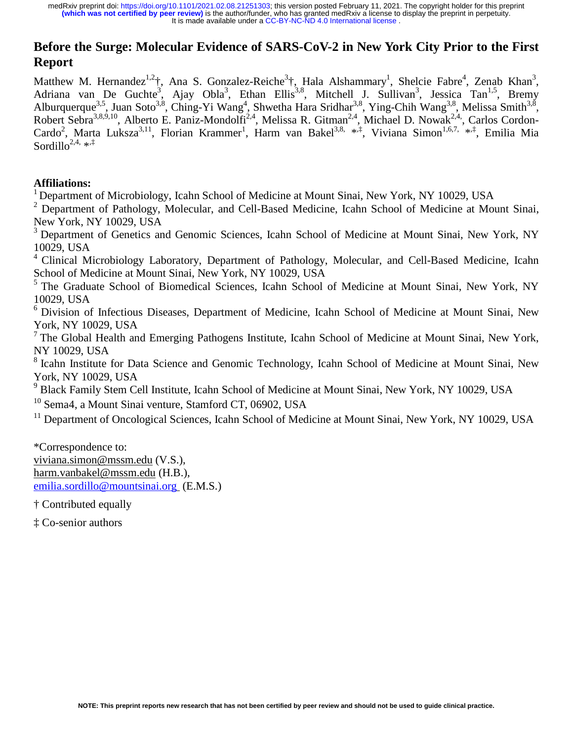# **Before the Surge: Molecular Evidence of SARS-CoV-2 in New York City Prior to the First Report**

Matthew M. Hernandez<sup>1,2</sup>†, Ana S. Gonzalez-Reiche<sup>3</sup>†, Hala Alshammary<sup>1</sup>, Shelcie Fabre<sup>4</sup>, Zenab Khan<sup>3</sup>, Adriana van De Guchte<sup>3</sup>, Ajay Obla<sup>3</sup>, Ethan Ellis<sup>3,8</sup>, Mitchell J. Sullivan<sup>3</sup>, Jessica Tan<sup>1,5</sup>, Bremy Alburquerque<sup>3,5</sup>, Juan Soto<sup>3,8</sup>, Ching-Yi Wang<sup>4</sup>, Shwetha Hara Sridhar<sup>3,8</sup>, Ying-Chih Wang<sup>3,8</sup>, Melissa Smith<sup>3,8</sup>, Robert Sebra<sup>3,8,9,10</sup>, Alberto E. Paniz-Mondolfi<sup>2,4</sup>, Melissa R. Gitman<sup>2,4</sup>, Michael D. Nowak<sup>2,4</sup>, Carlos Cordon-Cardo<sup>2</sup>, Marta Luksza<sup>3,11</sup>, Florian Krammer<sup>1</sup>, Harm van Bakel<sup>3,8, \*,‡</sup>, Viviana Simon<sup>1,6,7,</sup> \*<sup>,‡</sup>, Emilia Mia Sordillo<sup>2,4,  $\ast$ , $\ddagger$ </sup>

# **Affiliations:**

<sup>1</sup> Department of Microbiology, Icahn School of Medicine at Mount Sinai, New York, NY 10029, USA

<sup>2</sup> Department of Pathology, Molecular, and Cell-Based Medicine, Icahn School of Medicine at Mount Sinai, New York, NY 10029, USA

<sup>3</sup> Department of Genetics and Genomic Sciences, Icahn School of Medicine at Mount Sinai, New York, NY 10029, USA

<sup>4</sup> Clinical Microbiology Laboratory, Department of Pathology, Molecular, and Cell-Based Medicine, Icahn School of Medicine at Mount Sinai, New York, NY 10029, USA

<sup>5</sup> The Graduate School of Biomedical Sciences, Icahn School of Medicine at Mount Sinai, New York, NY 10029, USA

<sup>6</sup> Division of Infectious Diseases, Department of Medicine, Icahn School of Medicine at Mount Sinai, New York, NY 10029, USA

 $<sup>7</sup>$  The Global Health and Emerging Pathogens Institute, Icahn School of Medicine at Mount Sinai, New York,</sup> NY 10029, USA

<sup>8</sup> Icahn Institute for Data Science and Genomic Technology, Icahn School of Medicine at Mount Sinai, New York, NY 10029, USA

<sup>9</sup> Black Family Stem Cell Institute, Icahn School of Medicine at Mount Sinai, New York, NY 10029, USA

<sup>10</sup> Sema4, a Mount Sinai venture, Stamford CT, 06902, USA

 $11$  Department of Oncological Sciences, Icahn School of Medicine at Mount Sinai, New York, NY 10029, USA

\*Correspondence to: viviana.simon@mssm.edu (V.S.), harm.vanbakel@mssm.edu (H.B.), emilia.sordillo@mountsinai.org (E.M.S.)

† Contributed equally

‡ Co-senior authors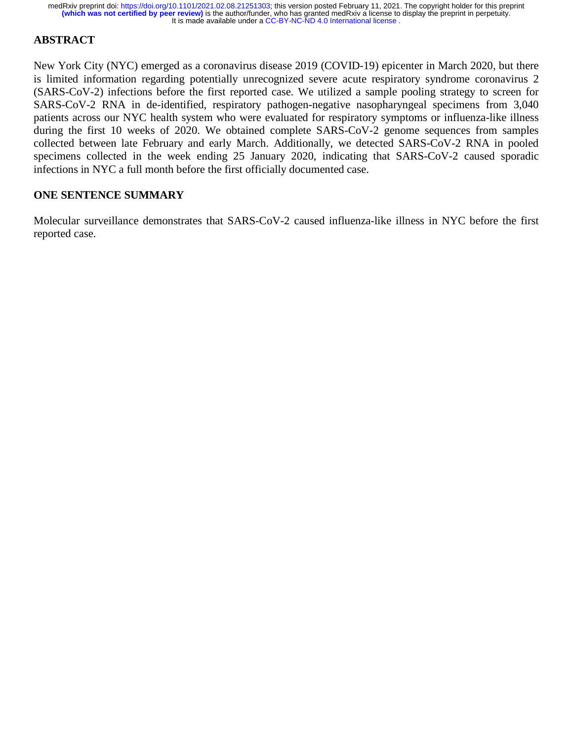# **ABSTRACT**

New York City (NYC) emerged as a coronavirus disease 2019 (COVID-19) epicenter in March 2020, but there is limited information regarding potentially unrecognized severe acute respiratory syndrome coronavirus 2 (SARS-CoV-2) infections before the first reported case. We utilized a sample pooling strategy to screen for SARS-CoV-2 RNA in de-identified, respiratory pathogen-negative nasopharyngeal specimens from 3,040 patients across our NYC health system who were evaluated for respiratory symptoms or influenza-like illness during the first 10 weeks of 2020. We obtained complete SARS-CoV-2 genome sequences from samples collected between late February and early March. Additionally, we detected SARS-CoV-2 RNA in pooled specimens collected in the week ending 25 January 2020, indicating that SARS-CoV-2 caused sporadic infections in NYC a full month before the first officially documented case.

# **ONE SENTENCE SUMMARY**

Molecular surveillance demonstrates that SARS-CoV-2 caused influenza-like illness in NYC before the first reported case.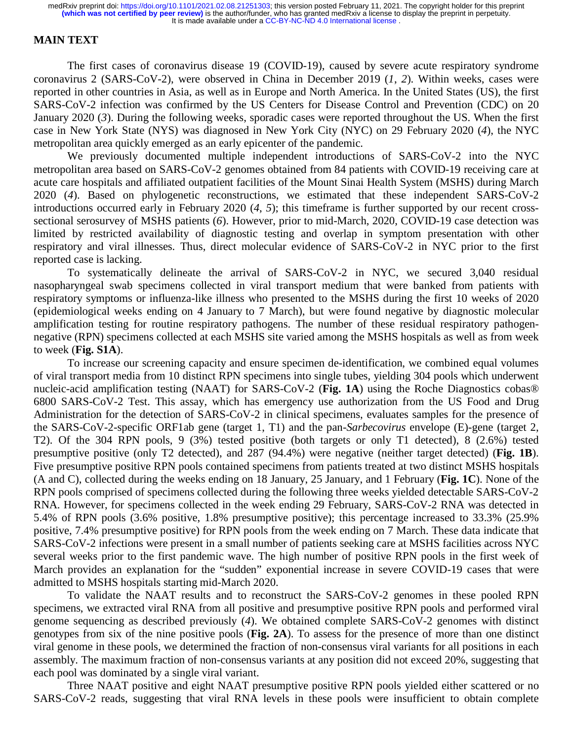### **MAIN TEXT**

The first cases of coronavirus disease 19 (COVID-19), caused by severe acute respiratory syndrome coronavirus 2 (SARS-CoV-2), were observed in China in December 2019 (*1*, *2*). Within weeks, cases were reported in other countries in Asia, as well as in Europe and North America. In the United States (US), the first SARS-CoV-2 infection was confirmed by the US Centers for Disease Control and Prevention (CDC) on 20 January 2020 (*3*). During the following weeks, sporadic cases were reported throughout the US. When the first case in New York State (NYS) was diagnosed in New York City (NYC) on 29 February 2020 (*4*), the NYC metropolitan area quickly emerged as an early epicenter of the pandemic.

We previously documented multiple independent introductions of SARS-CoV-2 into the NYC metropolitan area based on SARS-CoV-2 genomes obtained from 84 patients with COVID-19 receiving care at acute care hospitals and affiliated outpatient facilities of the Mount Sinai Health System (MSHS) during March 2020 (*4*). Based on phylogenetic reconstructions, we estimated that these independent SARS-CoV-2 introductions occurred early in February 2020 (*4*, *5*); this timeframe is further supported by our recent crosssectional serosurvey of MSHS patients (*6*). However, prior to mid-March, 2020, COVID-19 case detection was limited by restricted availability of diagnostic testing and overlap in symptom presentation with other respiratory and viral illnesses. Thus, direct molecular evidence of SARS-CoV-2 in NYC prior to the first reported case is lacking.

To systematically delineate the arrival of SARS-CoV-2 in NYC, we secured 3,040 residual nasopharyngeal swab specimens collected in viral transport medium that were banked from patients with respiratory symptoms or influenza-like illness who presented to the MSHS during the first 10 weeks of 2020 (epidemiological weeks ending on 4 January to 7 March), but were found negative by diagnostic molecular amplification testing for routine respiratory pathogens. The number of these residual respiratory pathogennegative (RPN) specimens collected at each MSHS site varied among the MSHS hospitals as well as from week to week (**Fig. S1A**).

To increase our screening capacity and ensure specimen de-identification, we combined equal volumes of viral transport media from 10 distinct RPN specimens into single tubes, yielding 304 pools which underwent nucleic-acid amplification testing (NAAT) for SARS-CoV-2 (**Fig. 1A**) using the Roche Diagnostics cobas® 6800 SARS-CoV-2 Test. This assay, which has emergency use authorization from the US Food and Drug Administration for the detection of SARS-CoV-2 in clinical specimens, evaluates samples for the presence of the SARS-CoV-2-specific ORF1ab gene (target 1, T1) and the pan-*Sarbecovirus* envelope (E)-gene (target 2, T2). Of the 304 RPN pools, 9 (3%) tested positive (both targets or only T1 detected), 8 (2.6%) tested presumptive positive (only T2 detected), and 287 (94.4%) were negative (neither target detected) (**Fig. 1B**). Five presumptive positive RPN pools contained specimens from patients treated at two distinct MSHS hospitals (A and C), collected during the weeks ending on 18 January, 25 January, and 1 February (**Fig. 1C**). None of the RPN pools comprised of specimens collected during the following three weeks yielded detectable SARS-CoV-2 RNA. However, for specimens collected in the week ending 29 February, SARS-CoV-2 RNA was detected in 5.4% of RPN pools (3.6% positive, 1.8% presumptive positive); this percentage increased to 33.3% (25.9% positive, 7.4% presumptive positive) for RPN pools from the week ending on 7 March. These data indicate that SARS-CoV-2 infections were present in a small number of patients seeking care at MSHS facilities across NYC several weeks prior to the first pandemic wave. The high number of positive RPN pools in the first week of March provides an explanation for the "sudden" exponential increase in severe COVID-19 cases that were admitted to MSHS hospitals starting mid-March 2020.

To validate the NAAT results and to reconstruct the SARS-CoV-2 genomes in these pooled RPN specimens, we extracted viral RNA from all positive and presumptive positive RPN pools and performed viral genome sequencing as described previously (*4*). We obtained complete SARS-CoV-2 genomes with distinct genotypes from six of the nine positive pools (**Fig. 2A**). To assess for the presence of more than one distinct viral genome in these pools, we determined the fraction of non-consensus viral variants for all positions in each assembly. The maximum fraction of non-consensus variants at any position did not exceed 20%, suggesting that each pool was dominated by a single viral variant.

Three NAAT positive and eight NAAT presumptive positive RPN pools yielded either scattered or no SARS-CoV-2 reads, suggesting that viral RNA levels in these pools were insufficient to obtain complete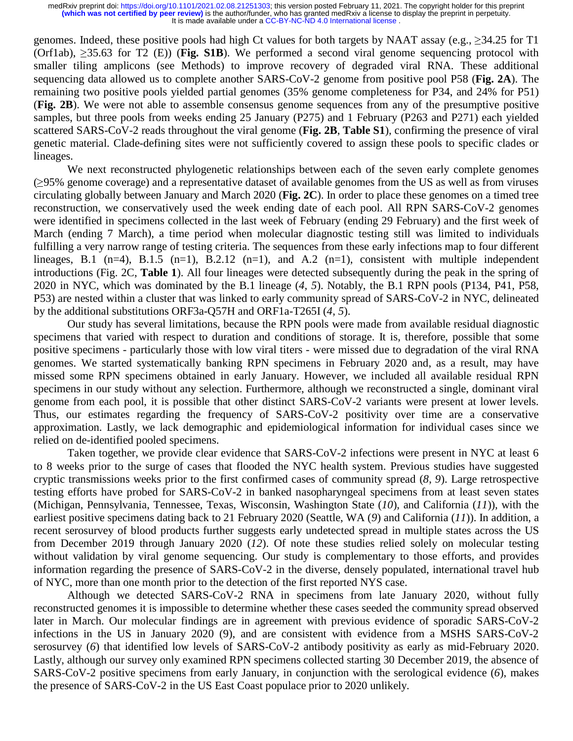genomes. Indeed, these positive pools had high Ct values for both targets by NAAT assay (e.g.,  $\geq 34.25$  for T1 (Orf1ab), ≥35.63 for T2 (E)) (**Fig. S1B**). We performed a second viral genome sequencing protocol with smaller tiling amplicons (see Methods) to improve recovery of degraded viral RNA. These additional sequencing data allowed us to complete another SARS-CoV-2 genome from positive pool P58 (**Fig. 2A**). The remaining two positive pools yielded partial genomes (35% genome completeness for P34, and 24% for P51) (**Fig. 2B**). We were not able to assemble consensus genome sequences from any of the presumptive positive samples, but three pools from weeks ending 25 January (P275) and 1 February (P263 and P271) each yielded scattered SARS-CoV-2 reads throughout the viral genome (**Fig. 2B**, **Table S1**), confirming the presence of viral genetic material. Clade-defining sites were not sufficiently covered to assign these pools to specific clades or lineages.

We next reconstructed phylogenetic relationships between each of the seven early complete genomes (≥95% genome coverage) and a representative dataset of available genomes from the US as well as from viruses circulating globally between January and March 2020 (**Fig. 2C**). In order to place these genomes on a timed tree reconstruction, we conservatively used the week ending date of each pool. All RPN SARS-CoV-2 genomes were identified in specimens collected in the last week of February (ending 29 February) and the first week of March (ending 7 March), a time period when molecular diagnostic testing still was limited to individuals fulfilling a very narrow range of testing criteria. The sequences from these early infections map to four different lineages, B.1 (n=4), B.1.5 (n=1), B.2.12 (n=1), and A.2 (n=1), consistent with multiple independent introductions (Fig. 2C, **Table 1**). All four lineages were detected subsequently during the peak in the spring of 2020 in NYC, which was dominated by the B.1 lineage (*4*, *5*). Notably, the B.1 RPN pools (P134, P41, P58, P53) are nested within a cluster that was linked to early community spread of SARS-CoV-2 in NYC, delineated by the additional substitutions ORF3a-Q57H and ORF1a-T265I (*4*, *5*).

Our study has several limitations, because the RPN pools were made from available residual diagnostic specimens that varied with respect to duration and conditions of storage. It is, therefore, possible that some positive specimens - particularly those with low viral titers - were missed due to degradation of the viral RNA genomes. We started systematically banking RPN specimens in February 2020 and, as a result, may have missed some RPN specimens obtained in early January. However, we included all available residual RPN specimens in our study without any selection. Furthermore, although we reconstructed a single, dominant viral genome from each pool, it is possible that other distinct SARS-CoV-2 variants were present at lower levels. Thus, our estimates regarding the frequency of SARS-CoV-2 positivity over time are a conservative approximation. Lastly, we lack demographic and epidemiological information for individual cases since we relied on de-identified pooled specimens.

Taken together, we provide clear evidence that SARS-CoV-2 infections were present in NYC at least 6 to 8 weeks prior to the surge of cases that flooded the NYC health system. Previous studies have suggested cryptic transmissions weeks prior to the first confirmed cases of community spread (*8*, *9*). Large retrospective testing efforts have probed for SARS-CoV-2 in banked nasopharyngeal specimens from at least seven states (Michigan, Pennsylvania, Tennessee, Texas, Wisconsin, Washington State (*10*), and California (*11*)), with the earliest positive specimens dating back to 21 February 2020 (Seattle, WA (*9*) and California (*11*)). In addition, a recent serosurvey of blood products further suggests early undetected spread in multiple states across the US from December 2019 through January 2020 (*12*). Of note these studies relied solely on molecular testing without validation by viral genome sequencing. Our study is complementary to those efforts, and provides information regarding the presence of SARS-CoV-2 in the diverse, densely populated, international travel hub of NYC, more than one month prior to the detection of the first reported NYS case.

Although we detected SARS-CoV-2 RNA in specimens from late January 2020, without fully reconstructed genomes it is impossible to determine whether these cases seeded the community spread observed later in March. Our molecular findings are in agreement with previous evidence of sporadic SARS-CoV-2 infections in the US in January 2020 (9), and are consistent with evidence from a MSHS SARS-CoV-2 serosurvey (*6*) that identified low levels of SARS-CoV-2 antibody positivity as early as mid-February 2020. Lastly, although our survey only examined RPN specimens collected starting 30 December 2019, the absence of SARS-CoV-2 positive specimens from early January, in conjunction with the serological evidence (*6*), makes the presence of SARS-CoV-2 in the US East Coast populace prior to 2020 unlikely.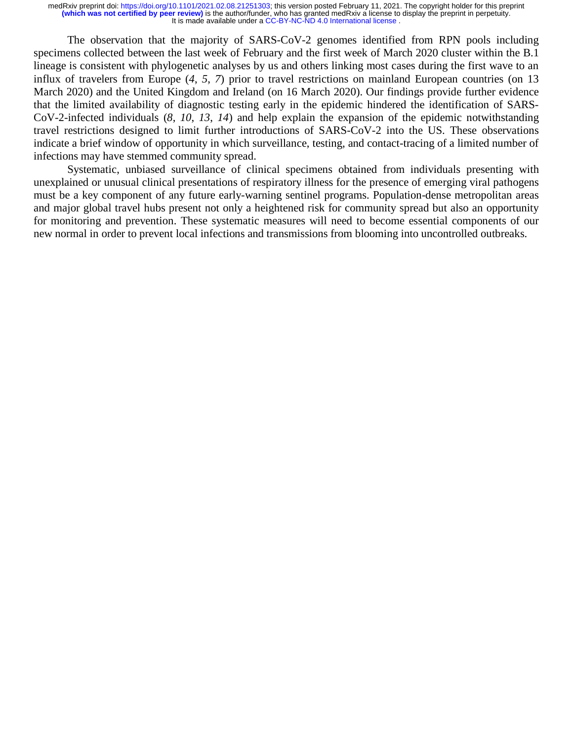The observation that the majority of SARS-CoV-2 genomes identified from RPN pools including specimens collected between the last week of February and the first week of March 2020 cluster within the B.1 lineage is consistent with phylogenetic analyses by us and others linking most cases during the first wave to an influx of travelers from Europe (*4*, *5*, *7*) prior to travel restrictions on mainland European countries (on 13 March 2020) and the United Kingdom and Ireland (on 16 March 2020). Our findings provide further evidence that the limited availability of diagnostic testing early in the epidemic hindered the identification of SARS-CoV-2-infected individuals (*8*, *10*, *13*, *14*) and help explain the expansion of the epidemic notwithstanding travel restrictions designed to limit further introductions of SARS-CoV-2 into the US. These observations indicate a brief window of opportunity in which surveillance, testing, and contact-tracing of a limited number of infections may have stemmed community spread.

Systematic, unbiased surveillance of clinical specimens obtained from individuals presenting with unexplained or unusual clinical presentations of respiratory illness for the presence of emerging viral pathogens must be a key component of any future early-warning sentinel programs. Population-dense metropolitan areas and major global travel hubs present not only a heightened risk for community spread but also an opportunity for monitoring and prevention. These systematic measures will need to become essential components of our new normal in order to prevent local infections and transmissions from blooming into uncontrolled outbreaks.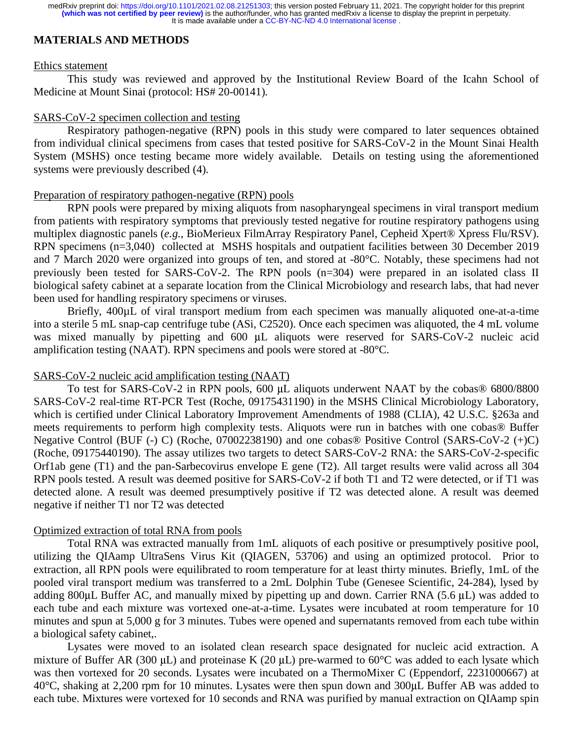### **MATERIALS AND METHODS**

#### Ethics statement

This study was reviewed and approved by the Institutional Review Board of the Icahn School of Medicine at Mount Sinai (protocol: HS# 20-00141).

#### SARS-CoV-2 specimen collection and testing

Respiratory pathogen-negative (RPN) pools in this study were compared to later sequences obtained from individual clinical specimens from cases that tested positive for SARS-CoV-2 in the Mount Sinai Health System (MSHS) once testing became more widely available. Details on testing using the aforementioned systems were previously described (4).

#### Preparation of respiratory pathogen-negative (RPN) pools

RPN pools were prepared by mixing aliquots from nasopharyngeal specimens in viral transport medium from patients with respiratory symptoms that previously tested negative for routine respiratory pathogens using multiplex diagnostic panels (*e.g.*, BioMerieux FilmArray Respiratory Panel, Cepheid Xpert® Xpress Flu/RSV). RPN specimens (n=3,040) collected at MSHS hospitals and outpatient facilities between 30 December 2019 and 7 March 2020 were organized into groups of ten, and stored at -80°C. Notably, these specimens had not previously been tested for SARS-CoV-2. The RPN pools (n=304) were prepared in an isolated class II biological safety cabinet at a separate location from the Clinical Microbiology and research labs, that had never been used for handling respiratory specimens or viruses.

Briefly, 400 $\mu$ L of viral transport medium from each specimen was manually aliquoted one-at-a-time into a sterile 5 mL snap-cap centrifuge tube (ASi, C2520). Once each specimen was aliquoted, the 4 mL volume was mixed manually by pipetting and 600 μL aliquots were reserved for SARS-CoV-2 nucleic acid amplification testing (NAAT). RPN specimens and pools were stored at -80°C.

#### SARS-CoV-2 nucleic acid amplification testing (NAAT)

 To test for SARS-CoV-2 in RPN pools, 600 μL aliquots underwent NAAT by the cobas® 6800/8800 SARS-CoV-2 real-time RT-PCR Test (Roche, 09175431190) in the MSHS Clinical Microbiology Laboratory, which is certified under Clinical Laboratory Improvement Amendments of 1988 (CLIA), 42 U.S.C. §263a and meets requirements to perform high complexity tests. Aliquots were run in batches with one cobas® Buffer Negative Control (BUF (-) C) (Roche, 07002238190) and one cobas® Positive Control (SARS-CoV-2 (+)C) (Roche, 09175440190). The assay utilizes two targets to detect SARS-CoV-2 RNA: the SARS-CoV-2-specific Orf1ab gene (T1) and the pan-Sarbecovirus envelope E gene (T2). All target results were valid across all 304 RPN pools tested. A result was deemed positive for SARS-CoV-2 if both T1 and T2 were detected, or if T1 was detected alone. A result was deemed presumptively positive if T2 was detected alone. A result was deemed negative if neither T1 nor T2 was detected

#### Optimized extraction of total RNA from pools

Total RNA was extracted manually from 1mL aliquots of each positive or presumptively positive pool, utilizing the QIAamp UltraSens Virus Kit (QIAGEN, 53706) and using an optimized protocol. Prior to extraction, all RPN pools were equilibrated to room temperature for at least thirty minutes. Briefly, 1mL of the pooled viral transport medium was transferred to a 2mL Dolphin Tube (Genesee Scientific, 24-284), lysed by adding 800μL Buffer AC, and manually mixed by pipetting up and down. Carrier RNA (5.6 μL) was added to each tube and each mixture was vortexed one-at-a-time. Lysates were incubated at room temperature for 10 minutes and spun at 5,000 g for 3 minutes. Tubes were opened and supernatants removed from each tube within a biological safety cabinet,.

Lysates were moved to an isolated clean research space designated for nucleic acid extraction. A mixture of Buffer AR (300  $\mu$ L) and proteinase K (20  $\mu$ L) pre-warmed to 60<sup>o</sup>C was added to each lysate which was then vortexed for 20 seconds. Lysates were incubated on a ThermoMixer C (Eppendorf, 2231000667) at 40°C, shaking at 2,200 rpm for 10 minutes. Lysates were then spun down and 300μL Buffer AB was added to each tube. Mixtures were vortexed for 10 seconds and RNA was purified by manual extraction on QIAamp spin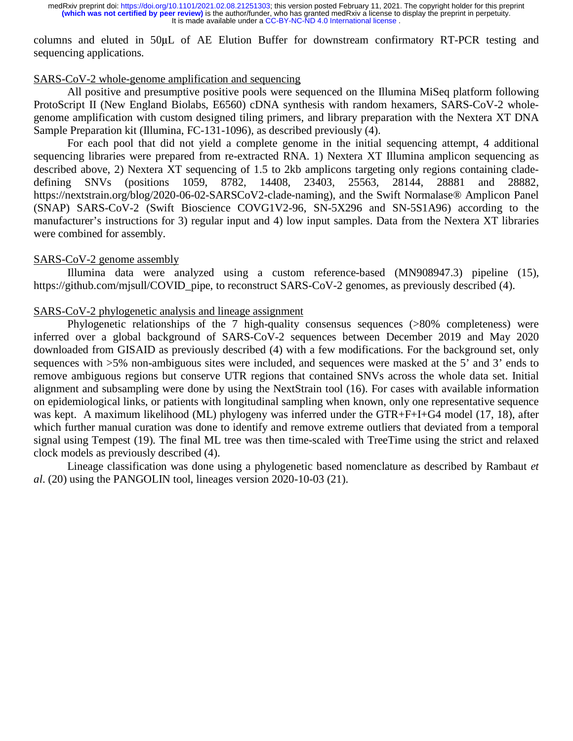columns and eluted in 50μL of AE Elution Buffer for downstream confirmatory RT-PCR testing and sequencing applications.

### SARS-CoV-2 whole-genome amplification and sequencing

All positive and presumptive positive pools were sequenced on the Illumina MiSeq platform following ProtoScript II (New England Biolabs, E6560) cDNA synthesis with random hexamers, SARS-CoV-2 wholegenome amplification with custom designed tiling primers, and library preparation with the Nextera XT DNA Sample Preparation kit (Illumina, FC-131-1096), as described previously (4).

For each pool that did not yield a complete genome in the initial sequencing attempt, 4 additional sequencing libraries were prepared from re-extracted RNA. 1) Nextera XT Illumina amplicon sequencing as described above, 2) Nextera XT sequencing of 1.5 to 2kb amplicons targeting only regions containing cladedefining SNVs (positions 1059, 8782, 14408, 23403, 25563, 28144, 28881 and 28882, https://nextstrain.org/blog/2020-06-02-SARSCoV2-clade-naming), and the Swift Normalase® Amplicon Panel (SNAP) SARS-CoV-2 (Swift Bioscience COVG1V2-96, SN-5X296 and SN-5S1A96) according to the manufacturer's instructions for 3) regular input and 4) low input samples. Data from the Nextera XT libraries were combined for assembly.

#### SARS-CoV-2 genome assembly

Illumina data were analyzed using a custom reference-based (MN908947.3) pipeline (15), https://github.com/mjsull/COVID\_pipe, to reconstruct SARS-CoV-2 genomes, as previously described (4).

### SARS-CoV-2 phylogenetic analysis and lineage assignment

Phylogenetic relationships of the 7 high-quality consensus sequences (>80% completeness) were inferred over a global background of SARS-CoV-2 sequences between December 2019 and May 2020 downloaded from GISAID as previously described (4) with a few modifications. For the background set, only sequences with >5% non-ambiguous sites were included, and sequences were masked at the 5' and 3' ends to remove ambiguous regions but conserve UTR regions that contained SNVs across the whole data set. Initial alignment and subsampling were done by using the NextStrain tool (16). For cases with available information on epidemiological links, or patients with longitudinal sampling when known, only one representative sequence was kept. A maximum likelihood (ML) phylogeny was inferred under the GTR+F+I+G4 model (17, 18), after which further manual curation was done to identify and remove extreme outliers that deviated from a temporal signal using Tempest (19). The final ML tree was then time-scaled with TreeTime using the strict and relaxed clock models as previously described (4).

Lineage classification was done using a phylogenetic based nomenclature as described by Rambaut *et al*. (20) using the PANGOLIN tool, lineages version 2020-10-03 (21).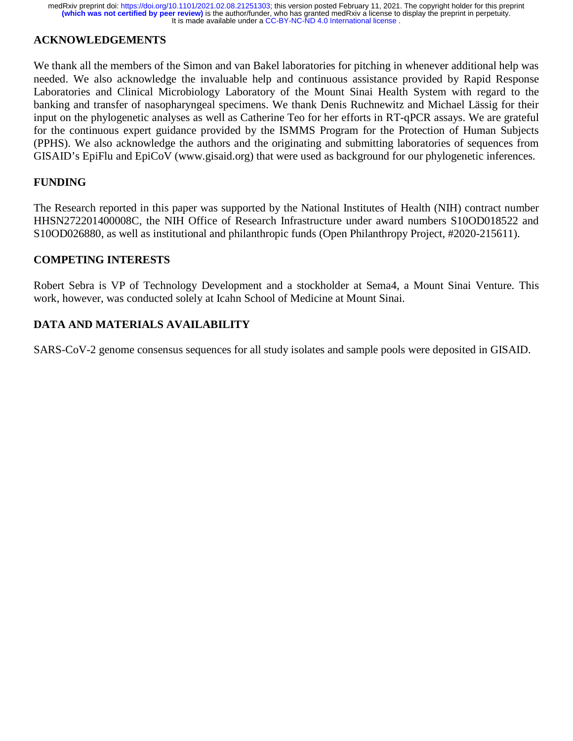# **ACKNOWLEDGEMENTS**

We thank all the members of the Simon and van Bakel laboratories for pitching in whenever additional help was needed. We also acknowledge the invaluable help and continuous assistance provided by Rapid Response Laboratories and Clinical Microbiology Laboratory of the Mount Sinai Health System with regard to the banking and transfer of nasopharyngeal specimens. We thank Denis Ruchnewitz and Michael Lässig for their input on the phylogenetic analyses as well as Catherine Teo for her efforts in RT-qPCR assays. We are grateful for the continuous expert guidance provided by the ISMMS Program for the Protection of Human Subjects (PPHS). We also acknowledge the authors and the originating and submitting laboratories of sequences from GISAID's EpiFlu and EpiCoV (www.gisaid.org) that were used as background for our phylogenetic inferences.

### **FUNDING**

The Research reported in this paper was supported by the National Institutes of Health (NIH) contract number HHSN272201400008C, the NIH Office of Research Infrastructure under award numbers S10OD018522 and S10OD026880, as well as institutional and philanthropic funds (Open Philanthropy Project, #2020-215611).

### **COMPETING INTERESTS**

Robert Sebra is VP of Technology Development and a stockholder at Sema4, a Mount Sinai Venture. This work, however, was conducted solely at Icahn School of Medicine at Mount Sinai.

# **DATA AND MATERIALS AVAILABILITY**

SARS-CoV-2 genome consensus sequences for all study isolates and sample pools were deposited in GISAID.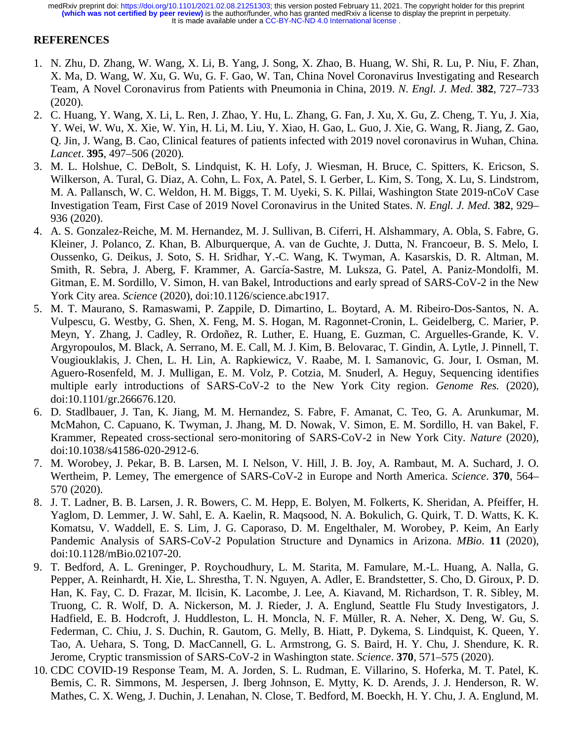### **REFERENCES**

- 1. N. Zhu, D. Zhang, W. Wang, X. Li, B. Yang, J. Song, X. Zhao, B. Huang, W. Shi, R. Lu, P. Niu, F. Zhan, X. Ma, D. Wang, W. Xu, G. Wu, G. F. Gao, W. Tan, China Novel Coronavirus Investigating and Research Team, A Novel Coronavirus from Patients with Pneumonia in China, 2019. *N. Engl. J. Med.* **382**, 727–733 (2020).
- 2. C. Huang, Y. Wang, X. Li, L. Ren, J. Zhao, Y. Hu, L. Zhang, G. Fan, J. Xu, X. Gu, Z. Cheng, T. Yu, J. Xia, Y. Wei, W. Wu, X. Xie, W. Yin, H. Li, M. Liu, Y. Xiao, H. Gao, L. Guo, J. Xie, G. Wang, R. Jiang, Z. Gao, Q. Jin, J. Wang, B. Cao, Clinical features of patients infected with 2019 novel coronavirus in Wuhan, China. *Lancet*. **395**, 497–506 (2020).
- 3. M. L. Holshue, C. DeBolt, S. Lindquist, K. H. Lofy, J. Wiesman, H. Bruce, C. Spitters, K. Ericson, S. Wilkerson, A. Tural, G. Diaz, A. Cohn, L. Fox, A. Patel, S. I. Gerber, L. Kim, S. Tong, X. Lu, S. Lindstrom, M. A. Pallansch, W. C. Weldon, H. M. Biggs, T. M. Uyeki, S. K. Pillai, Washington State 2019-nCoV Case Investigation Team, First Case of 2019 Novel Coronavirus in the United States. *N. Engl. J. Med.* **382**, 929– 936 (2020).
- 4. A. S. Gonzalez-Reiche, M. M. Hernandez, M. J. Sullivan, B. Ciferri, H. Alshammary, A. Obla, S. Fabre, G. Kleiner, J. Polanco, Z. Khan, B. Alburquerque, A. van de Guchte, J. Dutta, N. Francoeur, B. S. Melo, I. Oussenko, G. Deikus, J. Soto, S. H. Sridhar, Y.-C. Wang, K. Twyman, A. Kasarskis, D. R. Altman, M. Smith, R. Sebra, J. Aberg, F. Krammer, A. García-Sastre, M. Luksza, G. Patel, A. Paniz-Mondolfi, M. Gitman, E. M. Sordillo, V. Simon, H. van Bakel, Introductions and early spread of SARS-CoV-2 in the New York City area. *Science* (2020), doi:10.1126/science.abc1917.
- 5. M. T. Maurano, S. Ramaswami, P. Zappile, D. Dimartino, L. Boytard, A. M. Ribeiro-Dos-Santos, N. A. Vulpescu, G. Westby, G. Shen, X. Feng, M. S. Hogan, M. Ragonnet-Cronin, L. Geidelberg, C. Marier, P. Meyn, Y. Zhang, J. Cadley, R. Ordoñez, R. Luther, E. Huang, E. Guzman, C. Arguelles-Grande, K. V. Argyropoulos, M. Black, A. Serrano, M. E. Call, M. J. Kim, B. Belovarac, T. Gindin, A. Lytle, J. Pinnell, T. Vougiouklakis, J. Chen, L. H. Lin, A. Rapkiewicz, V. Raabe, M. I. Samanovic, G. Jour, I. Osman, M. Aguero-Rosenfeld, M. J. Mulligan, E. M. Volz, P. Cotzia, M. Snuderl, A. Heguy, Sequencing identifies multiple early introductions of SARS-CoV-2 to the New York City region. *Genome Res.* (2020), doi:10.1101/gr.266676.120.
- 6. D. Stadlbauer, J. Tan, K. Jiang, M. M. Hernandez, S. Fabre, F. Amanat, C. Teo, G. A. Arunkumar, M. McMahon, C. Capuano, K. Twyman, J. Jhang, M. D. Nowak, V. Simon, E. M. Sordillo, H. van Bakel, F. Krammer, Repeated cross-sectional sero-monitoring of SARS-CoV-2 in New York City. *Nature* (2020), doi:10.1038/s41586-020-2912-6.
- 7. M. Worobey, J. Pekar, B. B. Larsen, M. I. Nelson, V. Hill, J. B. Joy, A. Rambaut, M. A. Suchard, J. O. Wertheim, P. Lemey, The emergence of SARS-CoV-2 in Europe and North America. *Science*. **370**, 564– 570 (2020).
- 8. J. T. Ladner, B. B. Larsen, J. R. Bowers, C. M. Hepp, E. Bolyen, M. Folkerts, K. Sheridan, A. Pfeiffer, H. Yaglom, D. Lemmer, J. W. Sahl, E. A. Kaelin, R. Maqsood, N. A. Bokulich, G. Quirk, T. D. Watts, K. K. Komatsu, V. Waddell, E. S. Lim, J. G. Caporaso, D. M. Engelthaler, M. Worobey, P. Keim, An Early Pandemic Analysis of SARS-CoV-2 Population Structure and Dynamics in Arizona. *MBio*. **11** (2020), doi:10.1128/mBio.02107-20.
- 9. T. Bedford, A. L. Greninger, P. Roychoudhury, L. M. Starita, M. Famulare, M.-L. Huang, A. Nalla, G. Pepper, A. Reinhardt, H. Xie, L. Shrestha, T. N. Nguyen, A. Adler, E. Brandstetter, S. Cho, D. Giroux, P. D. Han, K. Fay, C. D. Frazar, M. Ilcisin, K. Lacombe, J. Lee, A. Kiavand, M. Richardson, T. R. Sibley, M. Truong, C. R. Wolf, D. A. Nickerson, M. J. Rieder, J. A. Englund, Seattle Flu Study Investigators, J. Hadfield, E. B. Hodcroft, J. Huddleston, L. H. Moncla, N. F. Müller, R. A. Neher, X. Deng, W. Gu, S. Federman, C. Chiu, J. S. Duchin, R. Gautom, G. Melly, B. Hiatt, P. Dykema, S. Lindquist, K. Queen, Y. Tao, A. Uehara, S. Tong, D. MacCannell, G. L. Armstrong, G. S. Baird, H. Y. Chu, J. Shendure, K. R. Jerome, Cryptic transmission of SARS-CoV-2 in Washington state. *Science*. **370**, 571–575 (2020).
- 10. CDC COVID-19 Response Team, M. A. Jorden, S. L. Rudman, E. Villarino, S. Hoferka, M. T. Patel, K. Bemis, C. R. Simmons, M. Jespersen, J. Iberg Johnson, E. Mytty, K. D. Arends, J. J. Henderson, R. W. Mathes, C. X. Weng, J. Duchin, J. Lenahan, N. Close, T. Bedford, M. Boeckh, H. Y. Chu, J. A. Englund, M.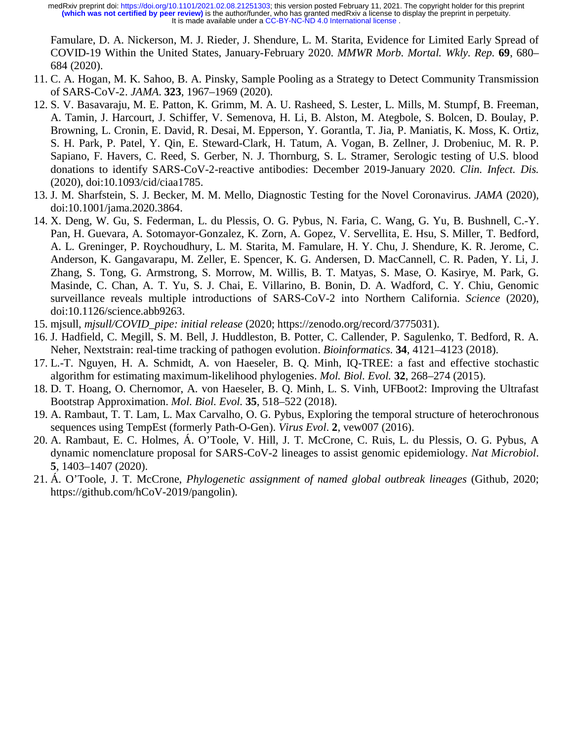Famulare, D. A. Nickerson, M. J. Rieder, J. Shendure, L. M. Starita, Evidence for Limited Early Spread of COVID-19 Within the United States, January-February 2020. *MMWR Morb. Mortal. Wkly. Rep.* **69**, 680– 684 (2020).

- 11. C. A. Hogan, M. K. Sahoo, B. A. Pinsky, Sample Pooling as a Strategy to Detect Community Transmission of SARS-CoV-2. *JAMA*. **323**, 1967–1969 (2020).
- 12. S. V. Basavaraju, M. E. Patton, K. Grimm, M. A. U. Rasheed, S. Lester, L. Mills, M. Stumpf, B. Freeman, A. Tamin, J. Harcourt, J. Schiffer, V. Semenova, H. Li, B. Alston, M. Ategbole, S. Bolcen, D. Boulay, P. Browning, L. Cronin, E. David, R. Desai, M. Epperson, Y. Gorantla, T. Jia, P. Maniatis, K. Moss, K. Ortiz, S. H. Park, P. Patel, Y. Qin, E. Steward-Clark, H. Tatum, A. Vogan, B. Zellner, J. Drobeniuc, M. R. P. Sapiano, F. Havers, C. Reed, S. Gerber, N. J. Thornburg, S. L. Stramer, Serologic testing of U.S. blood donations to identify SARS-CoV-2-reactive antibodies: December 2019-January 2020. *Clin. Infect. Dis.* (2020), doi:10.1093/cid/ciaa1785.
- 13. J. M. Sharfstein, S. J. Becker, M. M. Mello, Diagnostic Testing for the Novel Coronavirus. *JAMA* (2020), doi:10.1001/jama.2020.3864.
- 14. X. Deng, W. Gu, S. Federman, L. du Plessis, O. G. Pybus, N. Faria, C. Wang, G. Yu, B. Bushnell, C.-Y. Pan, H. Guevara, A. Sotomayor-Gonzalez, K. Zorn, A. Gopez, V. Servellita, E. Hsu, S. Miller, T. Bedford, A. L. Greninger, P. Roychoudhury, L. M. Starita, M. Famulare, H. Y. Chu, J. Shendure, K. R. Jerome, C. Anderson, K. Gangavarapu, M. Zeller, E. Spencer, K. G. Andersen, D. MacCannell, C. R. Paden, Y. Li, J. Zhang, S. Tong, G. Armstrong, S. Morrow, M. Willis, B. T. Matyas, S. Mase, O. Kasirye, M. Park, G. Masinde, C. Chan, A. T. Yu, S. J. Chai, E. Villarino, B. Bonin, D. A. Wadford, C. Y. Chiu, Genomic surveillance reveals multiple introductions of SARS-CoV-2 into Northern California. *Science* (2020), doi:10.1126/science.abb9263.
- 15. mjsull, *mjsull/COVID\_pipe: initial release* (2020; https://zenodo.org/record/3775031).
- 16. J. Hadfield, C. Megill, S. M. Bell, J. Huddleston, B. Potter, C. Callender, P. Sagulenko, T. Bedford, R. A. Neher, Nextstrain: real-time tracking of pathogen evolution. *Bioinformatics*. **34**, 4121–4123 (2018).
- 17. L.-T. Nguyen, H. A. Schmidt, A. von Haeseler, B. Q. Minh, IQ-TREE: a fast and effective stochastic algorithm for estimating maximum-likelihood phylogenies. *Mol. Biol. Evol.* **32**, 268–274 (2015).
- 18. D. T. Hoang, O. Chernomor, A. von Haeseler, B. Q. Minh, L. S. Vinh, UFBoot2: Improving the Ultrafast Bootstrap Approximation. *Mol. Biol. Evol.* **35**, 518–522 (2018).
- 19. A. Rambaut, T. T. Lam, L. Max Carvalho, O. G. Pybus, Exploring the temporal structure of heterochronous sequences using TempEst (formerly Path-O-Gen). *Virus Evol*. **2**, vew007 (2016).
- 20. A. Rambaut, E. C. Holmes, Á. O'Toole, V. Hill, J. T. McCrone, C. Ruis, L. du Plessis, O. G. Pybus, A dynamic nomenclature proposal for SARS-CoV-2 lineages to assist genomic epidemiology. *Nat Microbiol*. **5**, 1403–1407 (2020).
- 21. Á. O'Toole, J. T. McCrone, *Phylogenetic assignment of named global outbreak lineages* (Github, 2020; https://github.com/hCoV-2019/pangolin).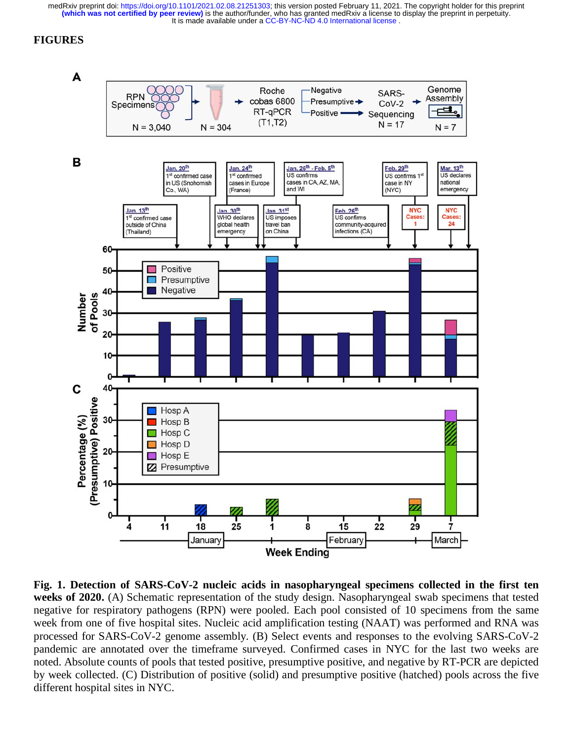# **FIGURES**



**Fig. 1. Detection of SARS-CoV-2 nucleic acids in nasopharyngeal specimens collected in the first ten weeks of 2020.** (A) Schematic representation of the study design. Nasopharyngeal swab specimens that tested negative for respiratory pathogens (RPN) were pooled. Each pool consisted of 10 specimens from the same week from one of five hospital sites. Nucleic acid amplification testing (NAAT) was performed and RNA was processed for SARS-CoV-2 genome assembly. (B) Select events and responses to the evolving SARS-CoV-2 pandemic are annotated over the timeframe surveyed. Confirmed cases in NYC for the last two weeks are noted. Absolute counts of pools that tested positive, presumptive positive, and negative by RT-PCR are depicted by week collected. (C) Distribution of positive (solid) and presumptive positive (hatched) pools across the five different hospital sites in NYC.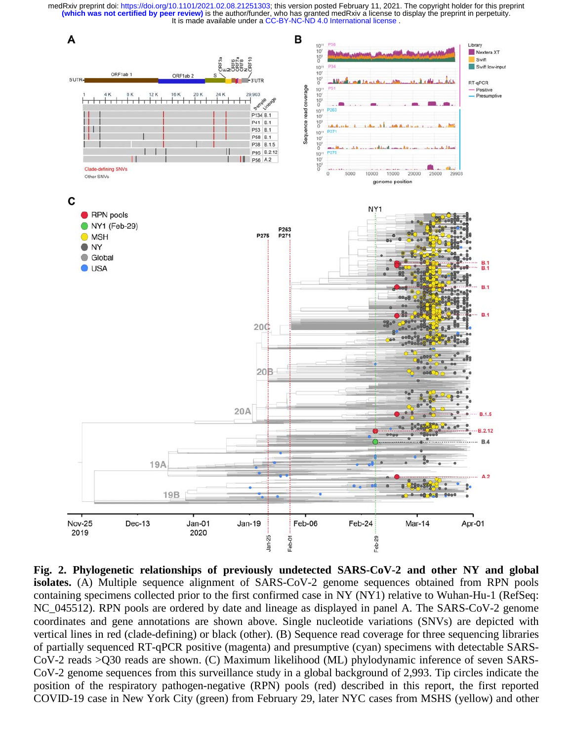

**Fig. 2. Phylogenetic relationships of previously undetected SARS-CoV-2 and other NY and global isolates.** (A) Multiple sequence alignment of SARS-CoV-2 genome sequences obtained from RPN pools containing specimens collected prior to the first confirmed case in NY (NY1) relative to Wuhan-Hu-1 (RefSeq: NC\_045512). RPN pools are ordered by date and lineage as displayed in panel A. The SARS-CoV-2 genome coordinates and gene annotations are shown above. Single nucleotide variations (SNVs) are depicted with vertical lines in red (clade-defining) or black (other). (B) Sequence read coverage for three sequencing libraries of partially sequenced RT-qPCR positive (magenta) and presumptive (cyan) specimens with detectable SARS-CoV-2 reads >Q30 reads are shown. (C) Maximum likelihood (ML) phylodynamic inference of seven SARS-CoV-2 genome sequences from this surveillance study in a global background of 2,993. Tip circles indicate the position of the respiratory pathogen-negative (RPN) pools (red) described in this report, the first reported COVID-19 case in New York City (green) from February 29, later NYC cases from MSHS (yellow) and other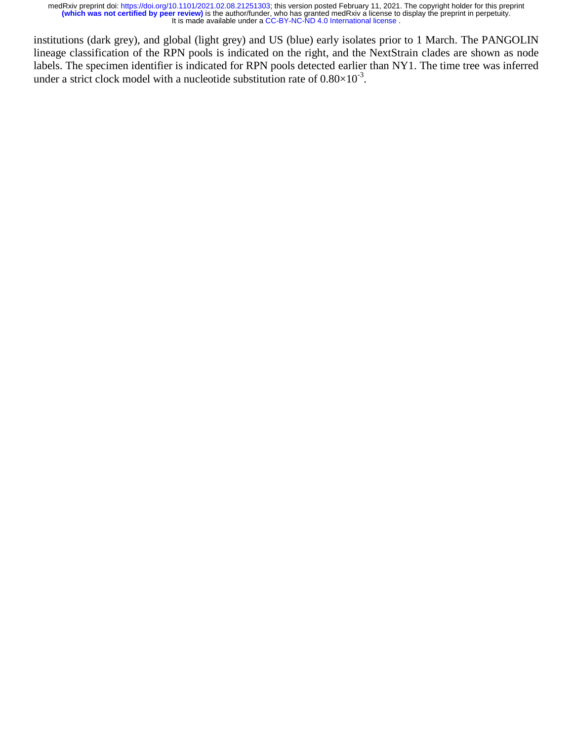institutions (dark grey), and global (light grey) and US (blue) early isolates prior to 1 March. The PANGOLIN lineage classification of the RPN pools is indicated on the right, and the NextStrain clades are shown as node labels. The specimen identifier is indicated for RPN pools detected earlier than NY1. The time tree was inferred under a strict clock model with a nucleotide substitution rate of  $0.80\times10^{-3}$ .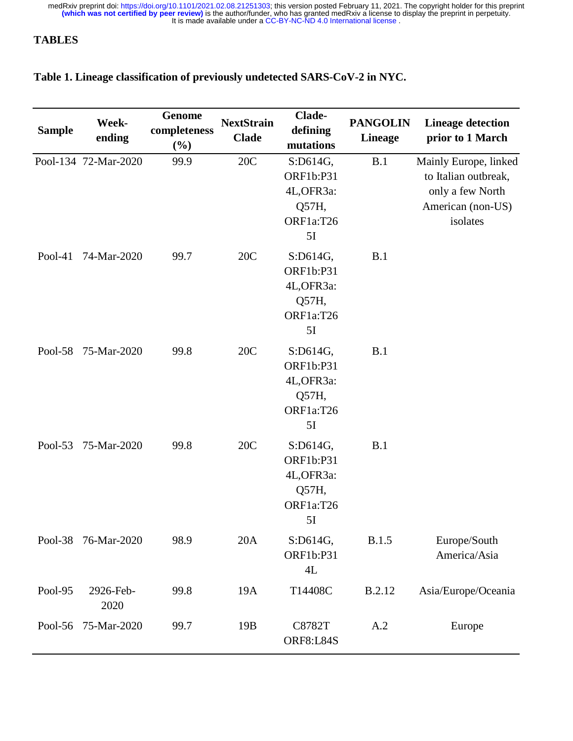# **TABLES**

# **Table 1. Lineage classification of previously undetected SARS-CoV-2 in NYC.**

| <b>Sample</b> | Week-<br>ending      | Genome<br>completeness<br>(%) | <b>NextStrain</b><br><b>Clade</b> | Clade-<br>defining<br>mutations                                        | <b>PANGOLIN</b><br><b>Lineage</b> | <b>Lineage detection</b><br>prior to 1 March                                                       |
|---------------|----------------------|-------------------------------|-----------------------------------|------------------------------------------------------------------------|-----------------------------------|----------------------------------------------------------------------------------------------------|
|               | Pool-134 72-Mar-2020 | 99.9                          | 20C                               | S:D614G,<br><b>ORF1b:P31</b><br>4L, OFR3a:<br>Q57H,<br>ORF1a:T26<br>5I | B.1                               | Mainly Europe, linked<br>to Italian outbreak,<br>only a few North<br>American (non-US)<br>isolates |
| Pool-41       | 74-Mar-2020          | 99.7                          | 20C                               | S:D614G,<br><b>ORF1b:P31</b><br>4L, OFR3a:<br>Q57H,<br>ORF1a:T26<br>5I | B.1                               |                                                                                                    |
| Pool-58       | 75-Mar-2020          | 99.8                          | 20C                               | S:D614G,<br><b>ORF1b:P31</b><br>4L, OFR3a:<br>Q57H,<br>ORF1a:T26<br>5I | B.1                               |                                                                                                    |
| Pool-53       | 75-Mar-2020          | 99.8                          | 20C                               | S:D614G,<br><b>ORF1b:P31</b><br>4L, OFR3a:<br>Q57H,<br>ORF1a:T26<br>5I | B.1                               |                                                                                                    |
| Pool-38       | 76-Mar-2020          | 98.9                          | 20A                               | S:D614G,<br><b>ORF1b:P31</b><br>4L                                     | <b>B.1.5</b>                      | Europe/South<br>America/Asia                                                                       |
| Pool-95       | 2926-Feb-<br>2020    | 99.8                          | 19A                               | T14408C                                                                | <b>B.2.12</b>                     | Asia/Europe/Oceania                                                                                |
|               | Pool-56 75-Mar-2020  | 99.7                          | 19 <sub>B</sub>                   | C8782T<br>ORF8:L84S                                                    | A.2                               | Europe                                                                                             |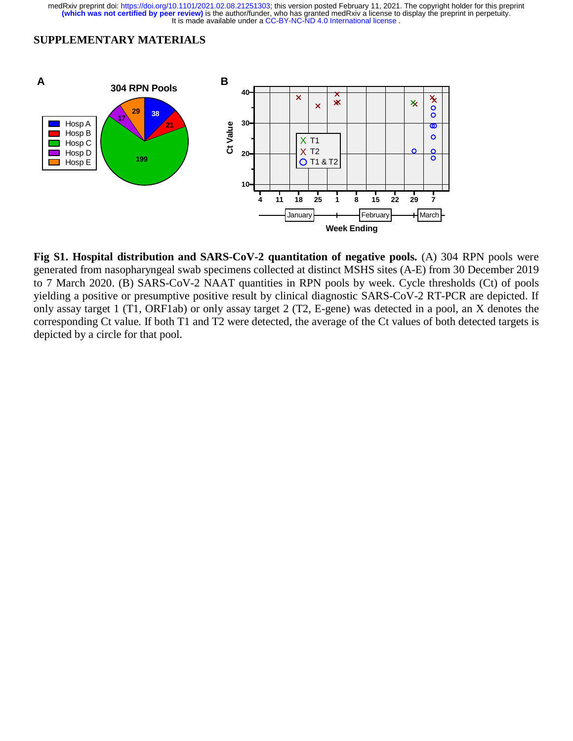#### **SUPPLEMENTARY MATERIALS**



**Fig S1. Hospital distribution and SARS-CoV-2 quantitation of negative pools.** (A) 304 RPN pools were generated from nasopharyngeal swab specimens collected at distinct MSHS sites (A-E) from 30 December 2019 to 7 March 2020. (B) SARS-CoV-2 NAAT quantities in RPN pools by week. Cycle thresholds (Ct) of pools yielding a positive or presumptive positive result by clinical diagnostic SARS-CoV-2 RT-PCR are depicted. If only assay target 1 (T1, ORF1ab) or only assay target 2 (T2, E-gene) was detected in a pool, an X denotes the corresponding Ct value. If both T1 and T2 were detected, the average of the Ct values of both detected targets is depicted by a circle for that pool.